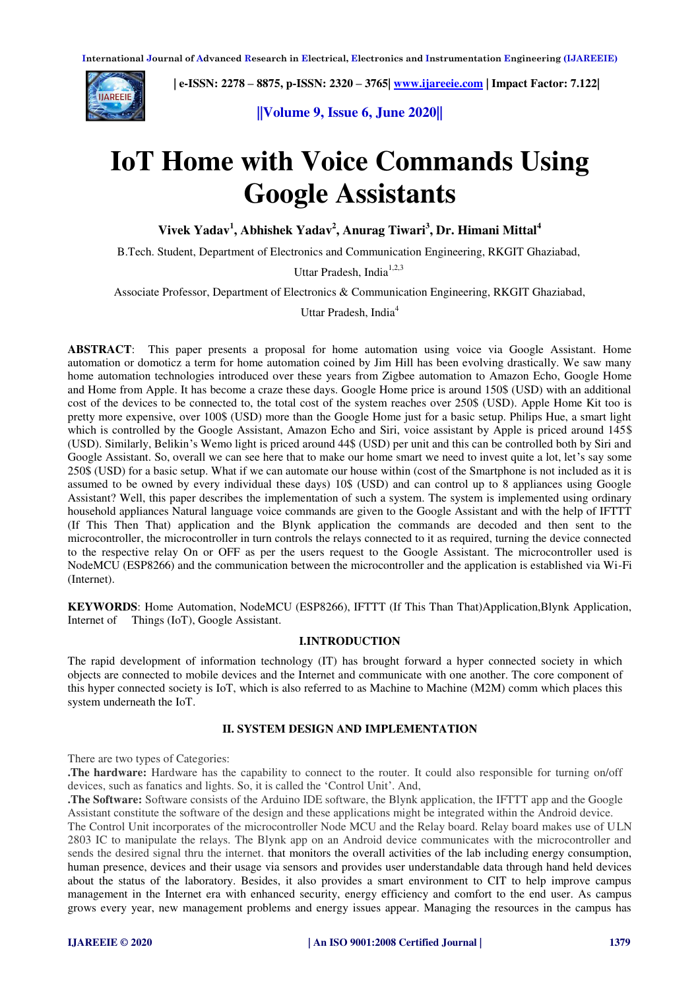

 **| e-ISSN: 2278 – 8875, p-ISSN: 2320 – 3765| [www.ijareeie.com](http://www.ijareeie.com/) | Impact Factor: 7.122|** 

**||Volume 9, Issue 6, June 2020||** 

# **IoT Home with Voice Commands Using Google Assistants**

**Vivek Yadav<sup>1</sup> , Abhishek Yadav<sup>2</sup> , Anurag Tiwari<sup>3</sup> , Dr. Himani Mittal<sup>4</sup>**

B.Tech. Student, Department of Electronics and Communication Engineering, RKGIT Ghaziabad,

Uttar Pradesh, India<sup>1,2,3</sup>

Associate Professor, Department of Electronics & Communication Engineering, RKGIT Ghaziabad,

Uttar Pradesh, India<sup>4</sup>

**ABSTRACT**: This paper presents a proposal for home automation using voice via Google Assistant. Home automation or domoticz a term for home automation coined by Jim Hill has been evolving drastically. We saw many home automation technologies introduced over these years from Zigbee automation to Amazon Echo, Google Home and Home from Apple. It has become a craze these days. Google Home price is around 150\$ (USD) with an additional cost of the devices to be connected to, the total cost of the system reaches over 250\$ (USD). Apple Home Kit too is pretty more expensive, over 100\$ (USD) more than the Google Home just for a basic setup. Philips Hue, a smart light which is controlled by the Google Assistant, Amazon Echo and Siri, voice assistant by Apple is priced around 145\$ (USD). Similarly, Belikin's Wemo light is priced around 44\$ (USD) per unit and this can be controlled both by Siri and Google Assistant. So, overall we can see here that to make our home smart we need to invest quite a lot, let's say some 250\$ (USD) for a basic setup. What if we can automate our house within (cost of the Smartphone is not included as it is assumed to be owned by every individual these days) 10\$ (USD) and can control up to 8 appliances using Google Assistant? Well, this paper describes the implementation of such a system. The system is implemented using ordinary household appliances Natural language voice commands are given to the Google Assistant and with the help of IFTTT (If This Then That) application and the Blynk application the commands are decoded and then sent to the microcontroller, the microcontroller in turn controls the relays connected to it as required, turning the device connected to the respective relay On or OFF as per the users request to the Google Assistant. The microcontroller used is NodeMCU (ESP8266) and the communication between the microcontroller and the application is established via Wi-Fi (Internet).

**KEYWORDS**: Home Automation, NodeMCU (ESP8266), IFTTT (If This Than That)Application,Blynk Application, Internet of Things (IoT), Google Assistant.

# **I.INTRODUCTION**

The rapid development of information technology (IT) has brought forward a hyper connected society in which objects are connected to mobile devices and the Internet and communicate with one another. The core component of this hyper connected society is IoT, which is also referred to as Machine to Machine (M2M) comm which places this system underneath the IoT.

# **II. SYSTEM DESIGN AND IMPLEMENTATION**

There are two types of Categories:

**.The hardware:** Hardware has the capability to connect to the router. It could also responsible for turning on/off devices, such as fanatics and lights. So, it is called the 'Control Unit'. And,

**.The Software:** Software consists of the Arduino IDE software, the Blynk application, the IFTTT app and the Google Assistant constitute the software of the design and these applications might be integrated within the Android device. The Control Unit incorporates of the microcontroller Node MCU and the Relay board. Relay board makes use of ULN 2803 IC to manipulate the relays. The Blynk app on an Android device communicates with the microcontroller and sends the desired signal thru the internet. that monitors the overall activities of the lab including energy consumption, human presence, devices and their usage via sensors and provides user understandable data through hand held devices about the status of the laboratory. Besides, it also provides a smart environment to CIT to help improve campus management in the Internet era with enhanced security, energy efficiency and comfort to the end user. As campus grows every year, new management problems and energy issues appear. Managing the resources in the campus has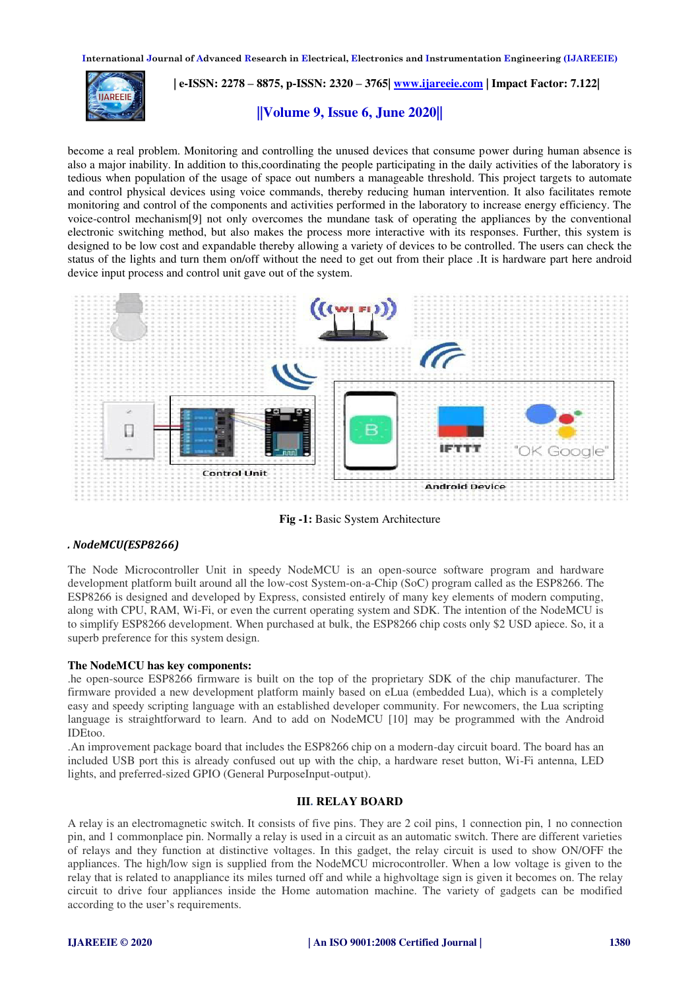**International Journal of Advanced Research in Electrical, Electronics and Instrumentation Engineering (IJAREEIE)** 



 **| e-ISSN: 2278 – 8875, p-ISSN: 2320 – 3765| [www.ijareeie.com](http://www.ijareeie.com/) | Impact Factor: 7.122|** 

# **||Volume 9, Issue 6, June 2020||**

become a real problem. Monitoring and controlling the unused devices that consume power during human absence is also a major inability. In addition to this,coordinating the people participating in the daily activities of the laboratory is tedious when population of the usage of space out numbers a manageable threshold. This project targets to automate and control physical devices using voice commands, thereby reducing human intervention. It also facilitates remote monitoring and control of the components and activities performed in the laboratory to increase energy efficiency. The voice-control mechanism[9] not only overcomes the mundane task of operating the appliances by the conventional electronic switching method, but also makes the process more interactive with its responses. Further, this system is designed to be low cost and expandable thereby allowing a variety of devices to be controlled. The users can check the status of the lights and turn them on/off without the need to get out from their place .It is hardware part here android device input process and control unit gave out of the system.



**Fig -1:** Basic System Architecture

# *. NodeMCU(ESP8266)*

The Node Microcontroller Unit in speedy NodeMCU is an open-source software program and hardware development platform built around all the low-cost System-on-a-Chip (SoC) program called as the ESP8266. The ESP8266 is designed and developed by Express, consisted entirely of many key elements of modern computing, along with CPU, RAM, Wi-Fi, or even the current operating system and SDK. The intention of the NodeMCU is to simplify ESP8266 development. When purchased at bulk, the ESP8266 chip costs only \$2 USD apiece. So, it a superb preference for this system design.

## **The NodeMCU has key components:**

.he open-source ESP8266 firmware is built on the top of the proprietary SDK of the chip manufacturer. The firmware provided a new development platform mainly based on eLua (embedded Lua), which is a completely easy and speedy scripting language with an established developer community. For newcomers, the Lua scripting language is straightforward to learn. And to add on NodeMCU [10] may be programmed with the Android IDEtoo.

.An improvement package board that includes the ESP8266 chip on a modern-day circuit board. The board has an included USB port this is already confused out up with the chip, a hardware reset button, Wi-Fi antenna, LED lights, and preferred-sized GPIO (General PurposeInput-output).

#### **III. RELAY BOARD**

A relay is an electromagnetic switch. It consists of five pins. They are 2 coil pins, 1 connection pin, 1 no connection pin, and 1 commonplace pin. Normally a relay is used in a circuit as an automatic switch. There are different varieties of relays and they function at distinctive voltages. In this gadget, the relay circuit is used to show ON/OFF the appliances. The high/low sign is supplied from the NodeMCU microcontroller. When a low voltage is given to the relay that is related to anappliance its miles turned off and while a highvoltage sign is given it becomes on. The relay circuit to drive four appliances inside the Home automation machine. The variety of gadgets can be modified according to the user's requirements.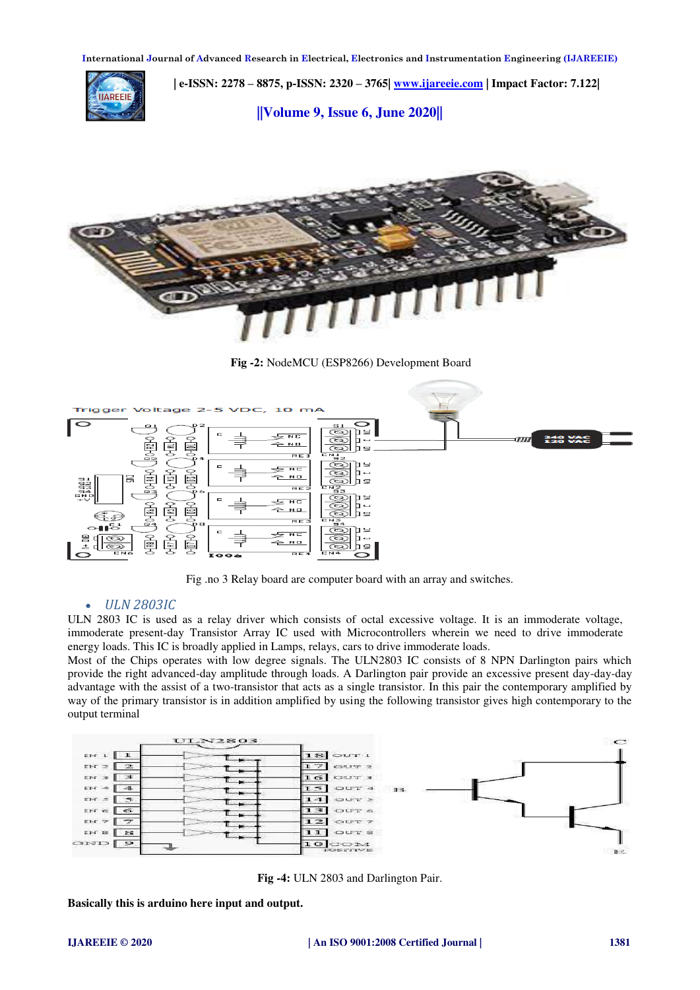

 **| e-ISSN: 2278 – 8875, p-ISSN: 2320 – 3765| [www.ijareeie.com](http://www.ijareeie.com/) | Impact Factor: 7.122|** 

**||Volume 9, Issue 6, June 2020||** 



**Fig -2:** NodeMCU (ESP8266) Development Board



Fig .no 3 Relay board are computer board with an array and switches.

## *ULN 2803IC*

ULN 2803 IC is used as a relay driver which consists of octal excessive voltage. It is an immoderate voltage, immoderate present-day Transistor Array IC used with Microcontrollers wherein we need to drive immoderate energy loads. This IC is broadly applied in Lamps, relays, cars to drive immoderate loads.

Most of the Chips operates with low degree signals. The ULN2803 IC consists of 8 NPN Darlington pairs which provide the right advanced-day amplitude through loads. A Darlington pair provide an excessive present day-day-day advantage with the assist of a two-transistor that acts as a single transistor. In this pair the contemporary amplified by way of the primary transistor is in addition amplified by using the following transistor gives high contemporary to the output terminal



**Fig -4:** ULN 2803 and Darlington Pair.

**Basically this is arduino here input and output.**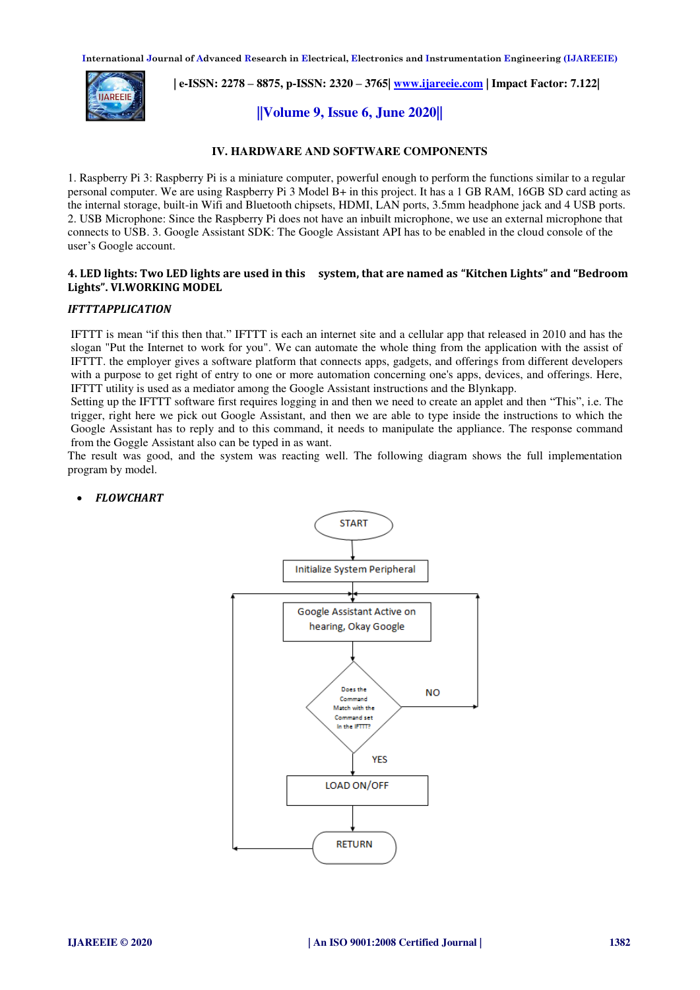**International Journal of Advanced Research in Electrical, Electronics and Instrumentation Engineering (IJAREEIE)** 



 **| e-ISSN: 2278 – 8875, p-ISSN: 2320 – 3765| [www.ijareeie.com](http://www.ijareeie.com/) | Impact Factor: 7.122|** 

# **||Volume 9, Issue 6, June 2020||**

## **IV. HARDWARE AND SOFTWARE COMPONENTS**

1. Raspberry Pi 3: Raspberry Pi is a miniature computer, powerful enough to perform the functions similar to a regular personal computer. We are using Raspberry Pi 3 Model B+ in this project. It has a 1 GB RAM, 16GB SD card acting as the internal storage, built-in Wifi and Bluetooth chipsets, HDMI, LAN ports, 3.5mm headphone jack and 4 USB ports. 2. USB Microphone: Since the Raspberry Pi does not have an inbuilt microphone, we use an external microphone that connects to USB. 3. Google Assistant SDK: The Google Assistant API has to be enabled in the cloud console of the user's Google account.

## **4. LED lights: Two LED lights are used in this system, that are named as "Kitchen Lights" and "Bedroom Lights". VI.WORKING MODEL**

## *IFTTTAPPLICATION*

IFTTT is mean "if this then that." IFTTT is each an internet site and a cellular app that released in 2010 and has the slogan "Put the Internet to work for you". We can automate the whole thing from the application with the assist of IFTTT. the employer gives a software platform that connects apps, gadgets, and offerings from different developers with a purpose to get right of entry to one or more automation concerning one's apps, devices, and offerings. Here, IFTTT utility is used as a mediator among the Google Assistant instructions and the Blynkapp.

Setting up the IFTTT software first requires logging in and then we need to create an applet and then "This", i.e. The trigger, right here we pick out Google Assistant, and then we are able to type inside the instructions to which the Google Assistant has to reply and to this command, it needs to manipulate the appliance. The response command from the Goggle Assistant also can be typed in as want.

The result was good, and the system was reacting well. The following diagram shows the full implementation program by model.



## *FLOWCHART*